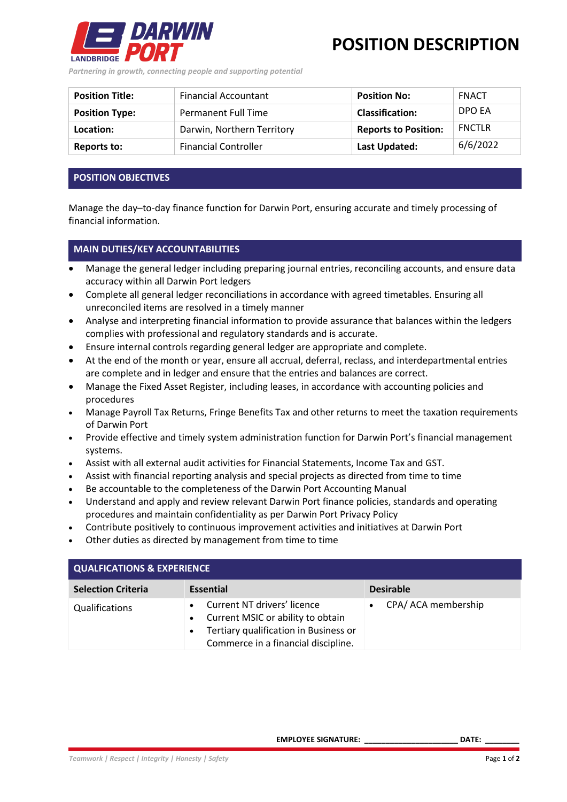

**POSITION DESCRIPTION**

*Partnering in growth, connecting people and supporting potential*

| <b>Position Title:</b> | <b>Financial Accountant</b> | <b>Position No:</b>         | <b>FNACT</b>  |
|------------------------|-----------------------------|-----------------------------|---------------|
| <b>Position Type:</b>  | <b>Permanent Full Time</b>  | <b>Classification:</b>      | DPO EA        |
| Location:              | Darwin, Northern Territory  | <b>Reports to Position:</b> | <b>FNCTLR</b> |
| Reports to:            | <b>Financial Controller</b> | Last Updated:               | 6/6/2022      |

## **POSITION OBJECTIVES**

Manage the day–to-day finance function for Darwin Port, ensuring accurate and timely processing of financial information.

## **MAIN DUTIES/KEY ACCOUNTABILITIES**

- Manage the general ledger including preparing journal entries, reconciling accounts, and ensure data accuracy within all Darwin Port ledgers
- Complete all general ledger reconciliations in accordance with agreed timetables. Ensuring all unreconciled items are resolved in a timely manner
- Analyse and interpreting financial information to provide assurance that balances within the ledgers complies with professional and regulatory standards and is accurate.
- Ensure internal controls regarding general ledger are appropriate and complete.
- At the end of the month or year, ensure all accrual, deferral, reclass, and interdepartmental entries are complete and in ledger and ensure that the entries and balances are correct.
- Manage the Fixed Asset Register, including leases, in accordance with accounting policies and procedures
- Manage Payroll Tax Returns, Fringe Benefits Tax and other returns to meet the taxation requirements of Darwin Port
- Provide effective and timely system administration function for Darwin Port's financial management systems.
- Assist with all external audit activities for Financial Statements, Income Tax and GST.
- Assist with financial reporting analysis and special projects as directed from time to time
- Be accountable to the completeness of the Darwin Port Accounting Manual
- Understand and apply and review relevant Darwin Port finance policies, standards and operating procedures and maintain confidentiality as per Darwin Port Privacy Policy
- Contribute positively to continuous improvement activities and initiatives at Darwin Port
- Other duties as directed by management from time to time

| <b>QUALFICATIONS &amp; EXPERIENCE</b> |                                                                                                                                                               |                     |  |  |
|---------------------------------------|---------------------------------------------------------------------------------------------------------------------------------------------------------------|---------------------|--|--|
| <b>Selection Criteria</b>             | <b>Essential</b>                                                                                                                                              | <b>Desirable</b>    |  |  |
| Qualifications                        | Current NT drivers' licence<br>Current MSIC or ability to obtain<br>Tertiary qualification in Business or<br>$\bullet$<br>Commerce in a financial discipline. | CPA/ ACA membership |  |  |